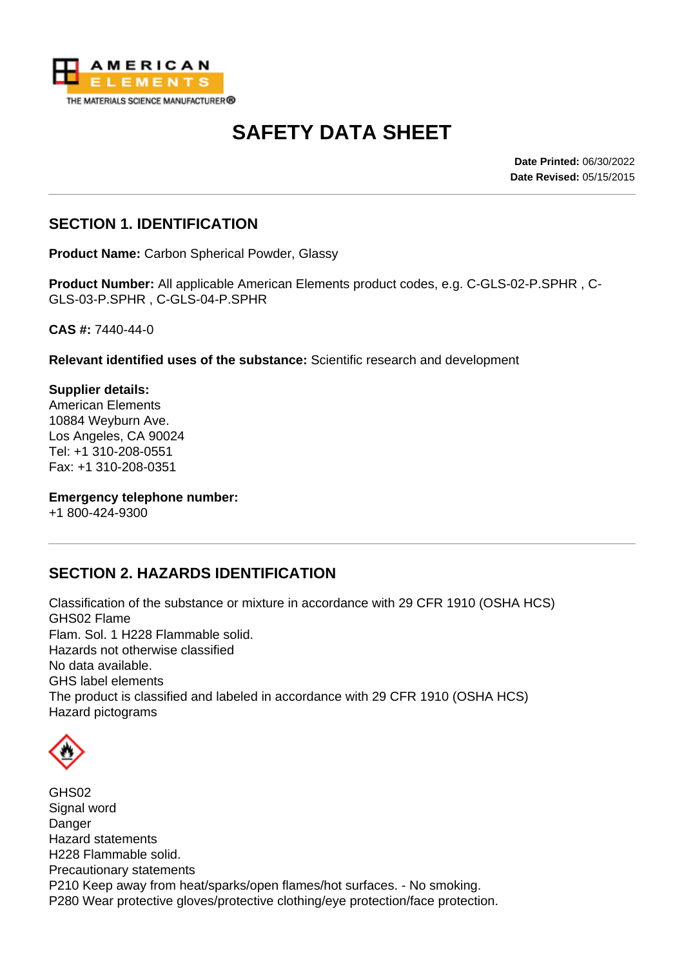

# **SAFETY DATA SHEET**

**Date Printed:** 06/30/2022 **Date Revised:** 05/15/2015

## **SECTION 1. IDENTIFICATION**

**Product Name:** Carbon Spherical Powder, Glassy

**Product Number:** All applicable American Elements product codes, e.g. C-GLS-02-P.SPHR , C-GLS-03-P.SPHR , C-GLS-04-P.SPHR

**CAS #:** 7440-44-0

**Relevant identified uses of the substance:** Scientific research and development

**Supplier details:** American Elements 10884 Weyburn Ave. Los Angeles, CA 90024 Tel: +1 310-208-0551 Fax: +1 310-208-0351

**Emergency telephone number:**

+1 800-424-9300

## **SECTION 2. HAZARDS IDENTIFICATION**

Classification of the substance or mixture in accordance with 29 CFR 1910 (OSHA HCS) GHS02 Flame Flam. Sol. 1 H228 Flammable solid. Hazards not otherwise classified No data available. GHS label elements The product is classified and labeled in accordance with 29 CFR 1910 (OSHA HCS) Hazard pictograms



GHS02 Signal word Danger Hazard statements H228 Flammable solid. Precautionary statements P210 Keep away from heat/sparks/open flames/hot surfaces. - No smoking. P280 Wear protective gloves/protective clothing/eye protection/face protection.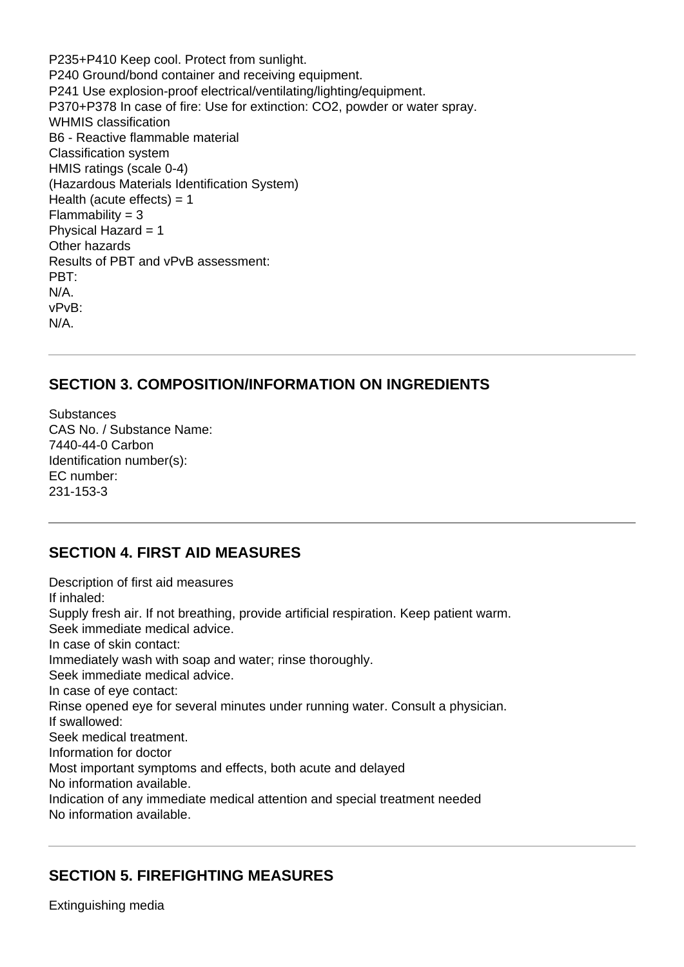P235+P410 Keep cool. Protect from sunlight. P240 Ground/bond container and receiving equipment. P241 Use explosion-proof electrical/ventilating/lighting/equipment. P370+P378 In case of fire: Use for extinction: CO2, powder or water spray. WHMIS classification B6 - Reactive flammable material Classification system HMIS ratings (scale 0-4) (Hazardous Materials Identification System) Health (acute effects)  $= 1$  $Flammability = 3$ Physical Hazard = 1 Other hazards Results of PBT and vPvB assessment: PBT: N/A. vPvB: N/A.

## **SECTION 3. COMPOSITION/INFORMATION ON INGREDIENTS**

**Substances** CAS No. / Substance Name: 7440-44-0 Carbon Identification number(s): EC number: 231-153-3

## **SECTION 4. FIRST AID MEASURES**

Description of first aid measures If inhaled: Supply fresh air. If not breathing, provide artificial respiration. Keep patient warm. Seek immediate medical advice. In case of skin contact: Immediately wash with soap and water; rinse thoroughly. Seek immediate medical advice. In case of eye contact: Rinse opened eye for several minutes under running water. Consult a physician. If swallowed: Seek medical treatment. Information for doctor Most important symptoms and effects, both acute and delayed No information available. Indication of any immediate medical attention and special treatment needed No information available.

# **SECTION 5. FIREFIGHTING MEASURES**

Extinguishing media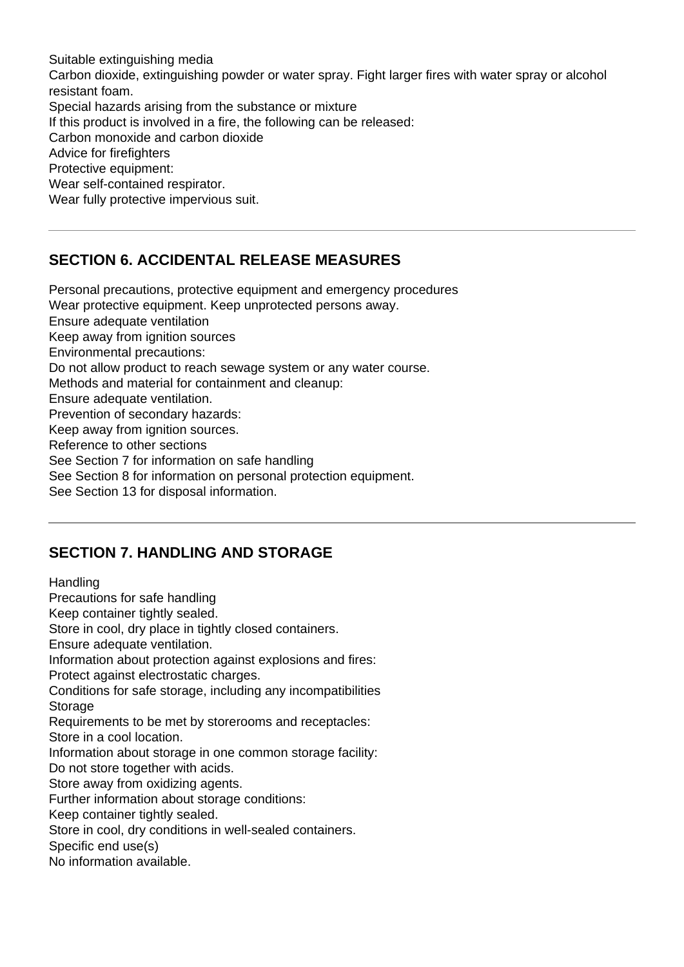Suitable extinguishing media Carbon dioxide, extinguishing powder or water spray. Fight larger fires with water spray or alcohol resistant foam. Special hazards arising from the substance or mixture If this product is involved in a fire, the following can be released: Carbon monoxide and carbon dioxide Advice for firefighters Protective equipment: Wear self-contained respirator. Wear fully protective impervious suit.

# **SECTION 6. ACCIDENTAL RELEASE MEASURES**

Personal precautions, protective equipment and emergency procedures Wear protective equipment. Keep unprotected persons away. Ensure adequate ventilation Keep away from ignition sources Environmental precautions: Do not allow product to reach sewage system or any water course. Methods and material for containment and cleanup: Ensure adequate ventilation. Prevention of secondary hazards: Keep away from ignition sources. Reference to other sections See Section 7 for information on safe handling See Section 8 for information on personal protection equipment. See Section 13 for disposal information.

## **SECTION 7. HANDLING AND STORAGE**

**Handling** Precautions for safe handling Keep container tightly sealed. Store in cool, dry place in tightly closed containers. Ensure adequate ventilation. Information about protection against explosions and fires: Protect against electrostatic charges. Conditions for safe storage, including any incompatibilities Storage Requirements to be met by storerooms and receptacles: Store in a cool location. Information about storage in one common storage facility: Do not store together with acids. Store away from oxidizing agents. Further information about storage conditions: Keep container tightly sealed. Store in cool, dry conditions in well-sealed containers. Specific end use(s) No information available.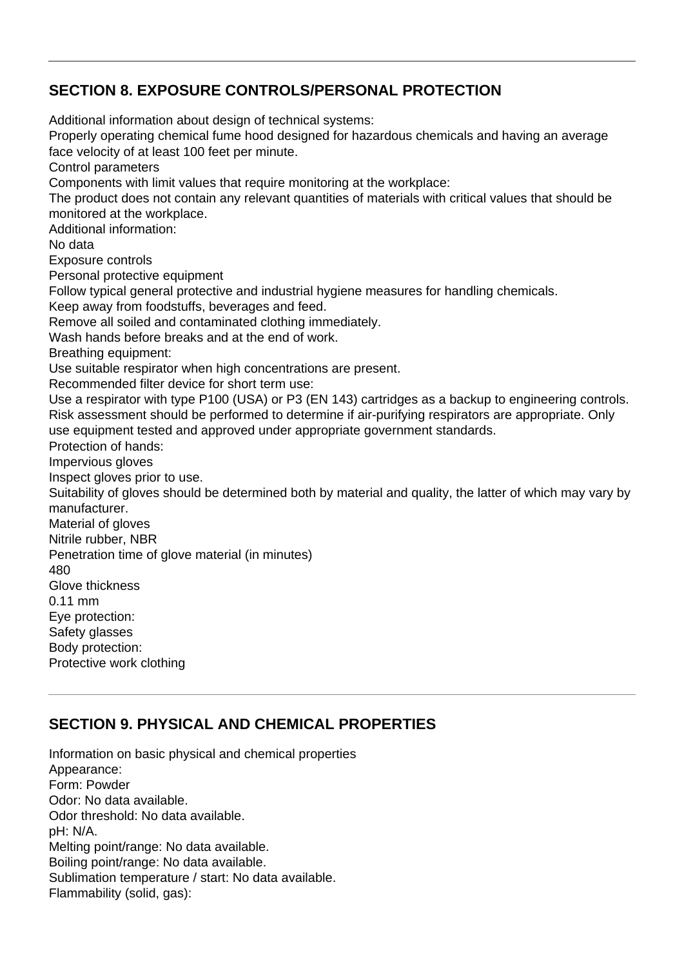## **SECTION 8. EXPOSURE CONTROLS/PERSONAL PROTECTION**

Additional information about design of technical systems: Properly operating chemical fume hood designed for hazardous chemicals and having an average face velocity of at least 100 feet per minute. Control parameters Components with limit values that require monitoring at the workplace: The product does not contain any relevant quantities of materials with critical values that should be monitored at the workplace. Additional information: No data Exposure controls Personal protective equipment Follow typical general protective and industrial hygiene measures for handling chemicals. Keep away from foodstuffs, beverages and feed. Remove all soiled and contaminated clothing immediately. Wash hands before breaks and at the end of work. Breathing equipment: Use suitable respirator when high concentrations are present. Recommended filter device for short term use: Use a respirator with type P100 (USA) or P3 (EN 143) cartridges as a backup to engineering controls. Risk assessment should be performed to determine if air-purifying respirators are appropriate. Only use equipment tested and approved under appropriate government standards. Protection of hands: Impervious gloves Inspect gloves prior to use. Suitability of gloves should be determined both by material and quality, the latter of which may vary by manufacturer. Material of gloves Nitrile rubber, NBR Penetration time of glove material (in minutes) 480 Glove thickness 0.11 mm Eye protection: Safety glasses Body protection: Protective work clothing

# **SECTION 9. PHYSICAL AND CHEMICAL PROPERTIES**

Information on basic physical and chemical properties Appearance: Form: Powder Odor: No data available. Odor threshold: No data available. pH: N/A. Melting point/range: No data available. Boiling point/range: No data available. Sublimation temperature / start: No data available. Flammability (solid, gas):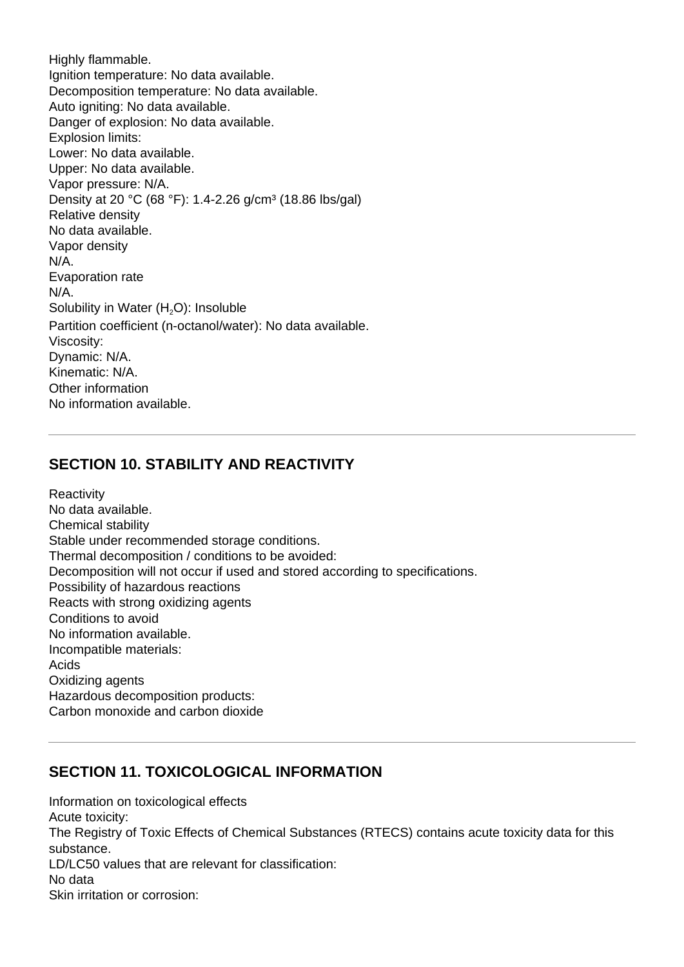Highly flammable. Ignition temperature: No data available. Decomposition temperature: No data available. Auto igniting: No data available. Danger of explosion: No data available. Explosion limits: Lower: No data available. Upper: No data available. Vapor pressure: N/A. Density at 20 °C (68 °F): 1.4-2.26 g/cm<sup>3</sup> (18.86 lbs/gal) Relative density No data available. Vapor density N/A. Evaporation rate N/A. Solubility in Water (H<sub>2</sub>O): Insoluble Partition coefficient (n-octanol/water): No data available. Viscosity: Dynamic: N/A. Kinematic: N/A. Other information No information available.

# **SECTION 10. STABILITY AND REACTIVITY**

**Reactivity** No data available. Chemical stability Stable under recommended storage conditions. Thermal decomposition / conditions to be avoided: Decomposition will not occur if used and stored according to specifications. Possibility of hazardous reactions Reacts with strong oxidizing agents Conditions to avoid No information available. Incompatible materials: Acids Oxidizing agents Hazardous decomposition products: Carbon monoxide and carbon dioxide

# **SECTION 11. TOXICOLOGICAL INFORMATION**

Information on toxicological effects Acute toxicity: The Registry of Toxic Effects of Chemical Substances (RTECS) contains acute toxicity data for this substance. LD/LC50 values that are relevant for classification: No data Skin irritation or corrosion: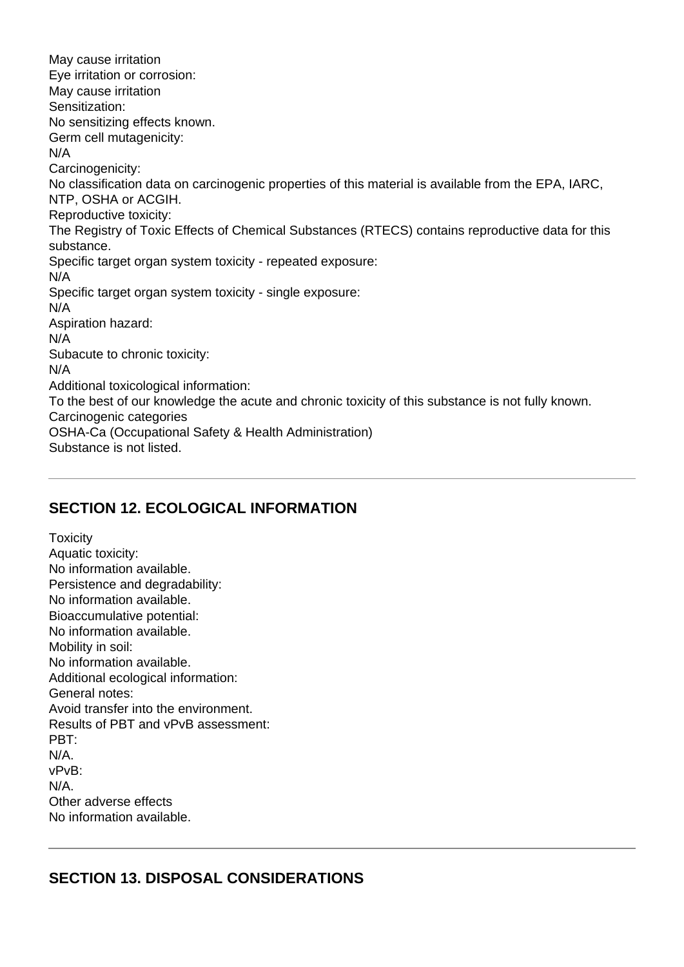May cause irritation Eye irritation or corrosion: May cause irritation Sensitization: No sensitizing effects known. Germ cell mutagenicity: N/A Carcinogenicity: No classification data on carcinogenic properties of this material is available from the EPA, IARC, NTP, OSHA or ACGIH. Reproductive toxicity: The Registry of Toxic Effects of Chemical Substances (RTECS) contains reproductive data for this substance. Specific target organ system toxicity - repeated exposure: N/A Specific target organ system toxicity - single exposure: N/A Aspiration hazard: N/A Subacute to chronic toxicity: N/A Additional toxicological information: To the best of our knowledge the acute and chronic toxicity of this substance is not fully known. Carcinogenic categories OSHA-Ca (Occupational Safety & Health Administration) Substance is not listed.

## **SECTION 12. ECOLOGICAL INFORMATION**

**Toxicity** Aquatic toxicity: No information available. Persistence and degradability: No information available. Bioaccumulative potential: No information available. Mobility in soil: No information available. Additional ecological information: General notes: Avoid transfer into the environment. Results of PBT and vPvB assessment: PBT: N/A. vPvB: N/A. Other adverse effects No information available.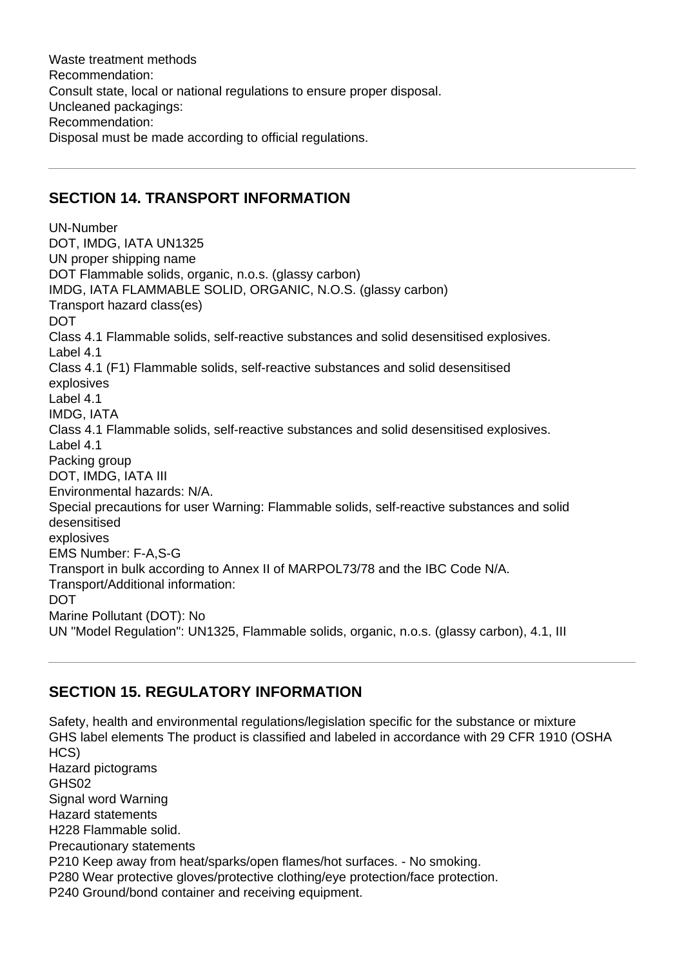Waste treatment methods Recommendation: Consult state, local or national regulations to ensure proper disposal. Uncleaned packagings: Recommendation: Disposal must be made according to official regulations.

## **SECTION 14. TRANSPORT INFORMATION**

UN-Number DOT, IMDG, IATA UN1325 UN proper shipping name DOT Flammable solids, organic, n.o.s. (glassy carbon) IMDG, IATA FLAMMABLE SOLID, ORGANIC, N.O.S. (glassy carbon) Transport hazard class(es) DOT Class 4.1 Flammable solids, self-reactive substances and solid desensitised explosives. Label 4.1 Class 4.1 (F1) Flammable solids, self-reactive substances and solid desensitised explosives Label 4.1 IMDG, IATA Class 4.1 Flammable solids, self-reactive substances and solid desensitised explosives. Label 4.1 Packing group DOT, IMDG, IATA III Environmental hazards: N/A. Special precautions for user Warning: Flammable solids, self-reactive substances and solid desensitised explosives EMS Number: F-A,S-G Transport in bulk according to Annex II of MARPOL73/78 and the IBC Code N/A. Transport/Additional information: DOT Marine Pollutant (DOT): No UN "Model Regulation": UN1325, Flammable solids, organic, n.o.s. (glassy carbon), 4.1, III

## **SECTION 15. REGULATORY INFORMATION**

Safety, health and environmental regulations/legislation specific for the substance or mixture GHS label elements The product is classified and labeled in accordance with 29 CFR 1910 (OSHA HCS) Hazard pictograms GHS02 Signal word Warning Hazard statements H228 Flammable solid. Precautionary statements P210 Keep away from heat/sparks/open flames/hot surfaces. - No smoking. P280 Wear protective gloves/protective clothing/eye protection/face protection. P240 Ground/bond container and receiving equipment.